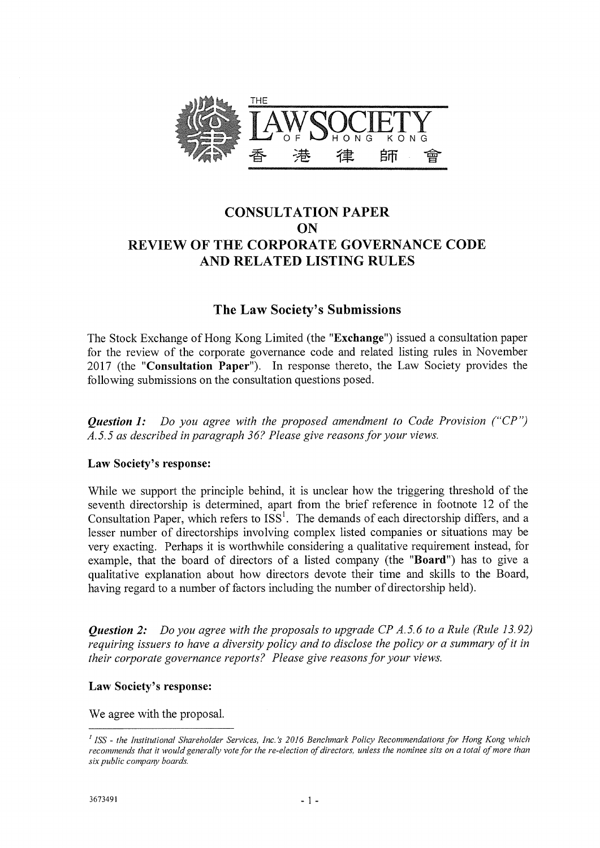

# CONSULTATION PAPER ON REVIEW OF THE CORPORATE GOVERNANCE CODE AND RELATED LISTING RULES

# The Law Society's Submissions

The Stock Exchange of Hong Kong Limited (the "Exchange") issued a consultation paper for the review of the corporate governance code and related listing rules in November 2017 (the "Consultation Paper"). In response thereto, the Law Society provides the following submissions on the consultation questions posed.

*Question 1: Do you agree with the proposed amendment to Code Provision ("CP") A.5.5 as described in paragraph 36? Please give reasons for your views.* 

# Law Society's response:

While we support the principle behind, it is unclear how the triggering threshold of the seventh directorship is determined, apart from the brief reference in footnote 12 of the Consultation Paper, which refers to  $ISS<sup>1</sup>$ . The demands of each directorship differs, and a lesser number of directorships involving complex listed companies or situations may be very exacting. Perhaps it is worthwhile considering a qualitative requirement instead, for example, that the board of directors of a listed company (the "Board") has to give a qualitative explanation about how directors devote their time and skills to the Board, having regard to a number of factors including the number of directorship held).

*Question 2: Do you agree with the proposals to upgrade CP A.5.6 to a Rule (Rule 13.92) requiring issuers to have a diversity policy and to disclose the policy or a summary of it in their corporate governance reports? Please give reasons for your views.* 

# Law Society's response:

We agree with the proposal.

*ISS - the Institutional Shareholder Services, Inc.'s 2016 Benchmark Policy Recommendations for Hong Kong which recommends that it would generally vote for the re-election of directors, unless the nominee sits on a total of more than six public company boards.*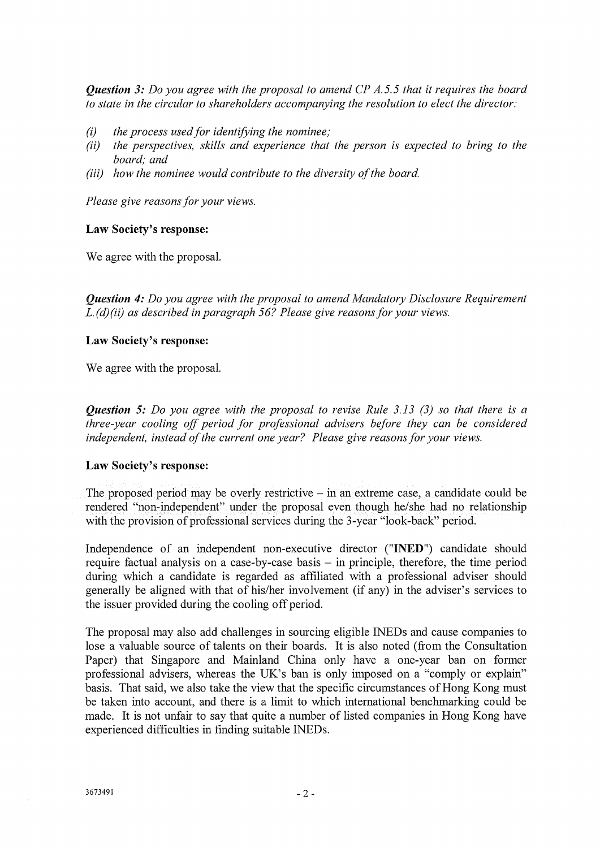*Question 3: Do you agree with the proposal to amend CP A.5.5 that it requires the board to state in the circular to shareholders accompanying the resolution to elect the director:* 

- (i) the process used for identifying the nominee;
- *(ii) the perspectives, skills and experience that the person is expected to bring to the board; and*
- *(iii) how the nominee would contribute to the diversity of the board.*

*Please give reasons for your views.* 

#### Law Society's response:

We agree with the proposal.

*Question 4: Do you agree with the proposal to amend Mandatory Disclosure Requirement L. (d)(ii) as described in paragraph 56? Please give reasons for your views.* 

### Law Society's response:

We agree with the proposal.

*Question 5: Do you agree with the proposal to revise Rule 3.13 (3) so that there is a three-year cooling off period for professional advisers before they can be considered independent, instead of the current one year? Please give reasons for your views.* 

#### Law Society's response:

The proposed period may be overly restrictive — in an extreme case, a candidate could be rendered "non-independent" under the proposal even though he/she had no relationship with the provision of professional services during the 3-year "look-back" period.

Independence of an independent non-executive director ("INED") candidate should require factual analysis on a case-by-case basis — in principle, therefore, the time period during which a candidate is regarded as affiliated with a professional adviser should generally be aligned with that of his/her involvement (if any) in the adviser's services to the issuer provided during the cooling off period.

The proposal may also add challenges in sourcing eligible INEDs and cause companies to lose a valuable source of talents on their boards. It is also noted (from the Consultation Paper) that Singapore and Mainland China only have a one-year ban on former professional advisers, whereas the UK's ban is only imposed on a "comply or explain" basis. That said, we also take the view that the specific circumstances of Hong Kong must be taken into account, and there is a limit to which international benchmarking could be made. It is not unfair to say that quite a number of listed companies in Hong Kong have experienced difficulties in finding suitable INEDs.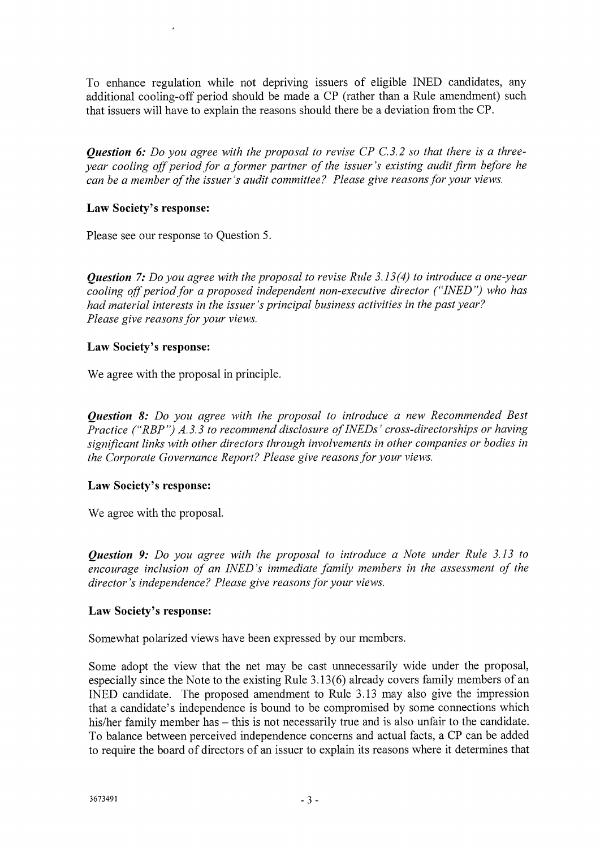To enhance regulation while not depriving issuers of eligible INED candidates, any additional cooling-off period should be made a CP (rather than a Rule amendment) such that issuers will have to explain the reasons should there be a deviation from the CP.

*Question 6: Do you agree with the proposal to revise CP C.3.2 so that there is a threeyear cooling off period for a former partner of the issuer's existing audit firm before he can be a member of the issuer's audit committee? Please give reasons for your views.* 

## Law Society's response:

Please see our response to Question 5.

*Question* 7: *Do you agree with the proposal to revise Rule 3.13(4) to introduce a one-year cooling off period for a proposed independent non-executive director ("INED') who has had material interests in the issuer's principal business activities in the past year? Please give reasons for your views.* 

## Law Society's response:

We agree with the proposal in principle.

*Question 8: Do you agree with the proposal to introduce a new Recommended Best Practice ("RBP") A. 3.3 to recommend disclosure of INEDs ' cross-directorships or having significant links with other directors through involvements in other companies or bodies in the Corporate Governance Report? Please give reasons for your views.* 

# Law Society's response:

We agree with the proposal.

*Question 9: Do you agree with the proposal to introduce a Note under Rule 3.13 to encourage inclusion of an INED's immediate family members in the assessment of the director's independence? Please give reasons for your views.* 

### Law Society's response:

Somewhat polarized views have been expressed by our members.

Some adopt the view that the net may be cast unnecessarily wide under the proposal, especially since the Note to the existing Rule 3.13(6) already covers family members of an INED candidate. The proposed amendment to Rule 3.13 may also give the impression that a candidate's independence is bound to be compromised by some connections which his/her family member has — this is not necessarily true and is also unfair to the candidate. To balance between perceived independence concerns and actual facts, a CP can be added to require the board of directors of an issuer to explain its reasons where it determines that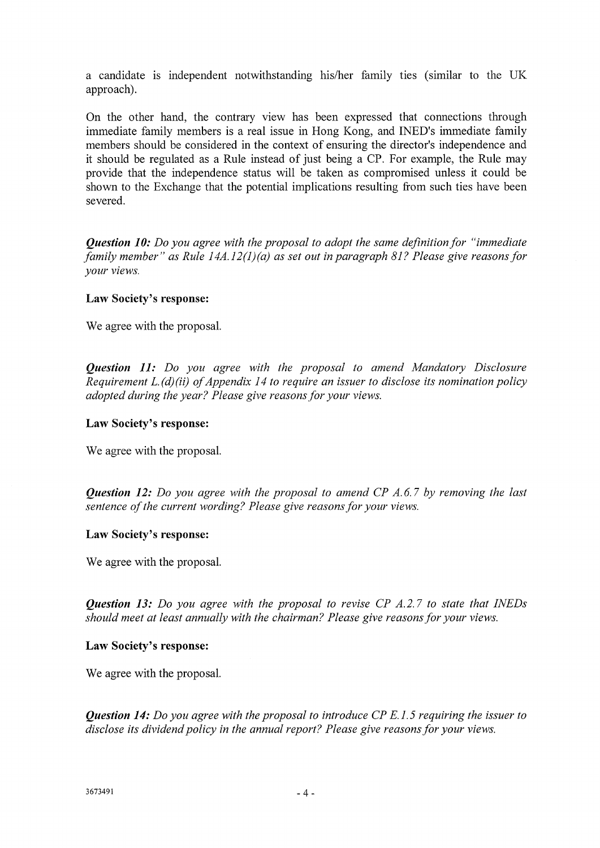a candidate is independent notwithstanding his/her family ties (similar to the UK approach).

On the other hand, the contrary view has been expressed that connections through immediate family members is a real issue in Hong Kong, and INED's immediate family members should be considered in the context of ensuring the director's independence and it should be regulated as a Rule instead of just being a CP. For example, the Rule may provide that the independence status will be taken as compromised unless it could be shown to the Exchange that the potential implications resulting from such ties have been severed.

*Question 10: Do you agree with the proposal to adopt the same definition for "immediate family member" as Rule 14A.12(1)(a) as set out in paragraph 81? Please give reasons for your views.* 

### **Law Society's response:**

We agree with the proposal.

*Question 11: Do you agree with the proposal to amend Mandatory Disclosure Requirement L. (d)(ii) of Appendix 14 to require an issuer to disclose its nomination policy adopted during the year? Please give reasons for your views.* 

### **Law Society's response:**

We agree with the proposal.

*Question 12: Do you agree with the proposal to amend CP A.6.7 by removing the last sentence of the current wording? Please give reasons for your views.* 

### **Law Society's response:**

We agree with the proposal.

*Question 13: Do you agree with the proposal to revise CP A.2.7 to state that INEDs should meet at least annually with the chairman? Please give reasons for your views.* 

#### **Law Society's response:**

We agree with the proposal.

*Question 14: Do you agree with the proposal to introduce CP E. 1.5 requiring the issuer to disclose its dividend policy in the annual report? Please give reasons for your views.*